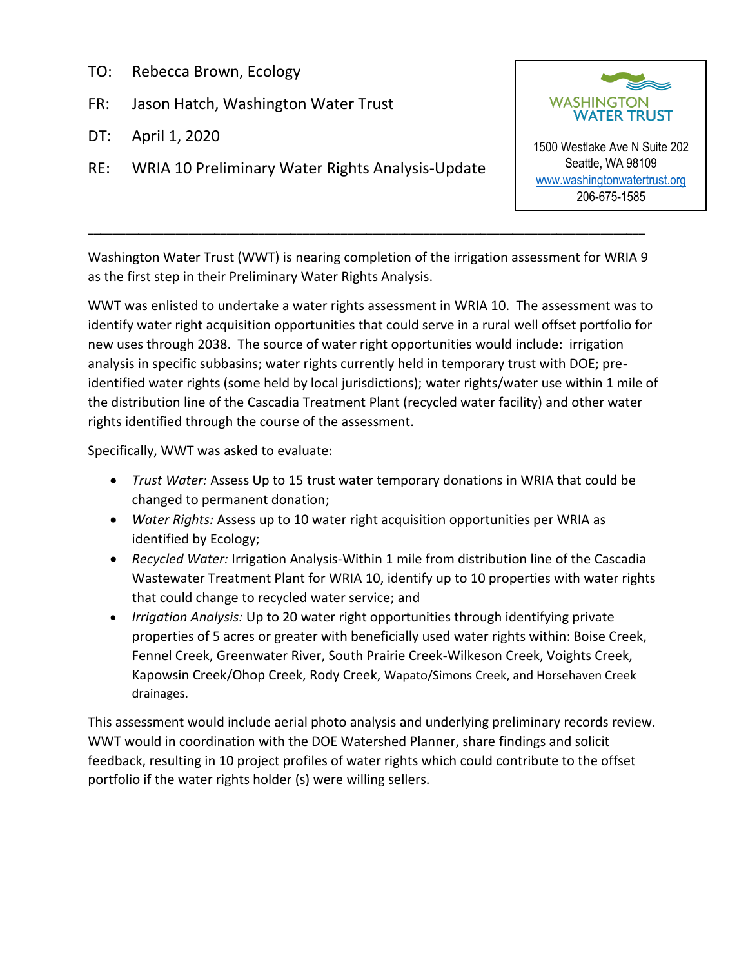- TO: Rebecca Brown, Ecology
- FR: Jason Hatch, Washington Water Trust
- DT: April 1, 2020
- RE: WRIA 10 Preliminary Water Rights Analysis-Update



1500 Westlake Ave N Suite 202 Seattle, WA 98109 [www.washingtonwatertrust.org](http://www.washingtonwatertrust.org/) 206-675-1585

Washington Water Trust (WWT) is nearing completion of the irrigation assessment for WRIA 9 as the first step in their Preliminary Water Rights Analysis.

\_\_\_\_\_\_\_\_\_\_\_\_\_\_\_\_\_\_\_\_\_\_\_\_\_\_\_\_\_\_\_\_\_\_\_\_\_\_\_\_\_\_\_\_\_\_\_\_\_\_\_\_\_\_\_\_\_\_\_\_\_\_\_\_\_\_\_\_\_\_\_\_\_\_\_\_\_\_\_\_\_\_\_\_\_\_\_\_

WWT was enlisted to undertake a water rights assessment in WRIA 10. The assessment was to identify water right acquisition opportunities that could serve in a rural well offset portfolio for new uses through 2038. The source of water right opportunities would include: irrigation analysis in specific subbasins; water rights currently held in temporary trust with DOE; preidentified water rights (some held by local jurisdictions); water rights/water use within 1 mile of the distribution line of the Cascadia Treatment Plant (recycled water facility) and other water rights identified through the course of the assessment.

Specifically, WWT was asked to evaluate:

- *Trust Water:* Assess Up to 15 trust water temporary donations in WRIA that could be changed to permanent donation;
- *Water Rights:* Assess up to 10 water right acquisition opportunities per WRIA as identified by Ecology;
- *Recycled Water:* Irrigation Analysis-Within 1 mile from distribution line of the Cascadia Wastewater Treatment Plant for WRIA 10, identify up to 10 properties with water rights that could change to recycled water service; and
- *Irrigation Analysis:* Up to 20 water right opportunities through identifying private properties of 5 acres or greater with beneficially used water rights within: Boise Creek, Fennel Creek, Greenwater River, South Prairie Creek-Wilkeson Creek, Voights Creek, Kapowsin Creek/Ohop Creek, Rody Creek, Wapato/Simons Creek, and Horsehaven Creek drainages.

This assessment would include aerial photo analysis and underlying preliminary records review. WWT would in coordination with the DOE Watershed Planner, share findings and solicit feedback, resulting in 10 project profiles of water rights which could contribute to the offset portfolio if the water rights holder (s) were willing sellers.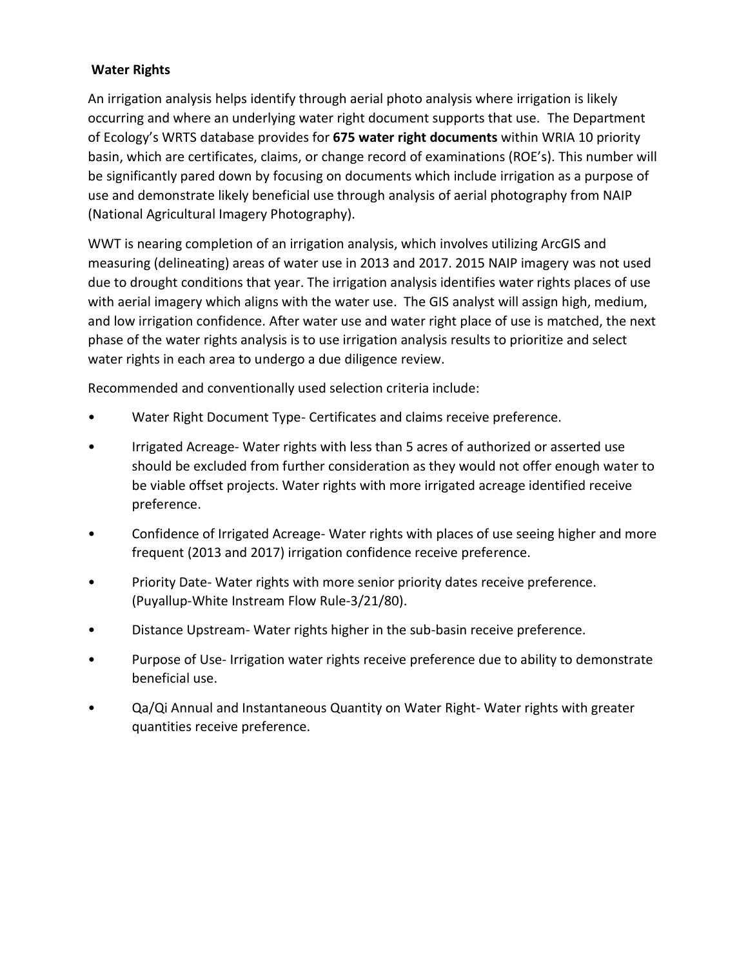# **Water Rights**

An irrigation analysis helps identify through aerial photo analysis where irrigation is likely occurring and where an underlying water right document supports that use. The Department of Ecology's WRTS database provides for **675 water right documents** within WRIA 10 priority basin, which are certificates, claims, or change record of examinations (ROE's). This number will be significantly pared down by focusing on documents which include irrigation as a purpose of use and demonstrate likely beneficial use through analysis of aerial photography from NAIP (National Agricultural Imagery Photography).

WWT is nearing completion of an irrigation analysis, which involves utilizing ArcGIS and measuring (delineating) areas of water use in 2013 and 2017. 2015 NAIP imagery was not used due to drought conditions that year. The irrigation analysis identifies water rights places of use with aerial imagery which aligns with the water use. The GIS analyst will assign high, medium, and low irrigation confidence. After water use and water right place of use is matched, the next phase of the water rights analysis is to use irrigation analysis results to prioritize and select water rights in each area to undergo a due diligence review.

Recommended and conventionally used selection criteria include:

- Water Right Document Type- Certificates and claims receive preference.
- Irrigated Acreage- Water rights with less than 5 acres of authorized or asserted use should be excluded from further consideration as they would not offer enough water to be viable offset projects. Water rights with more irrigated acreage identified receive preference.
- Confidence of Irrigated Acreage- Water rights with places of use seeing higher and more frequent (2013 and 2017) irrigation confidence receive preference.
- Priority Date- Water rights with more senior priority dates receive preference. (Puyallup-White Instream Flow Rule-3/21/80).
- Distance Upstream- Water rights higher in the sub-basin receive preference.
- Purpose of Use- Irrigation water rights receive preference due to ability to demonstrate beneficial use.
- Qa/Qi Annual and Instantaneous Quantity on Water Right- Water rights with greater quantities receive preference.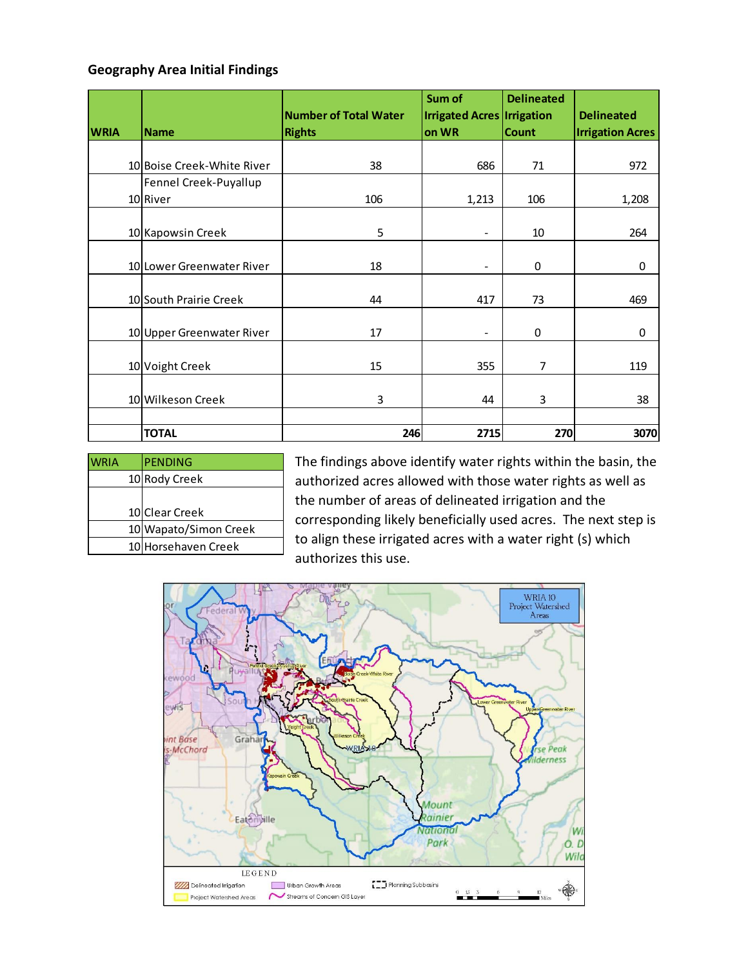#### **Geography Area Initial Findings**

|             |                            | <b>Number of Total Water</b> | Sum of<br><b>Irrigated Acres Irrigation</b> | <b>Delineated</b> | <b>Delineated</b>       |
|-------------|----------------------------|------------------------------|---------------------------------------------|-------------------|-------------------------|
| <b>WRIA</b> | <b>Name</b>                | <b>Rights</b>                | on WR                                       | <b>Count</b>      | <b>Irrigation Acres</b> |
|             |                            |                              |                                             |                   |                         |
|             | 10 Boise Creek-White River | 38                           | 686                                         | 71                | 972                     |
|             | Fennel Creek-Puyallup      |                              |                                             |                   |                         |
|             | 10 River                   | 106                          | 1,213                                       | 106               | 1,208                   |
|             |                            |                              |                                             |                   |                         |
|             | 10 Kapowsin Creek          | 5                            | $\qquad \qquad \blacksquare$                | 10                | 264                     |
|             |                            |                              |                                             |                   |                         |
|             | 10 Lower Greenwater River  | 18                           | $\overline{\phantom{0}}$                    | 0                 | 0                       |
|             |                            |                              |                                             |                   |                         |
|             | 10 South Prairie Creek     | 44                           | 417                                         | 73                | 469                     |
|             |                            |                              |                                             |                   |                         |
|             | 10 Upper Greenwater River  | 17                           | $\qquad \qquad \blacksquare$                | 0                 | 0                       |
|             |                            |                              |                                             |                   |                         |
|             | 10 Voight Creek            | 15                           | 355                                         | 7                 | 119                     |
|             |                            |                              |                                             |                   |                         |
|             | 10 Wilkeson Creek          | 3                            | 44                                          | 3                 | 38                      |
|             |                            |                              |                                             |                   |                         |
|             | <b>TOTAL</b>               | 246                          | 2715                                        | 270               | 3070                    |

| <b>PENDING</b>        |
|-----------------------|
| 10 Rody Creek         |
|                       |
| 10 Clear Creek        |
| 10 Wapato/Simon Creek |
| 10 Horsehaven Creek   |
|                       |

The findings above identify water rights within the basin, the authorized acres allowed with those water rights as well as the number of areas of delineated irrigation and the corresponding likely beneficially used acres. The next step is to align these irrigated acres with a water right (s) which authorizes this use.